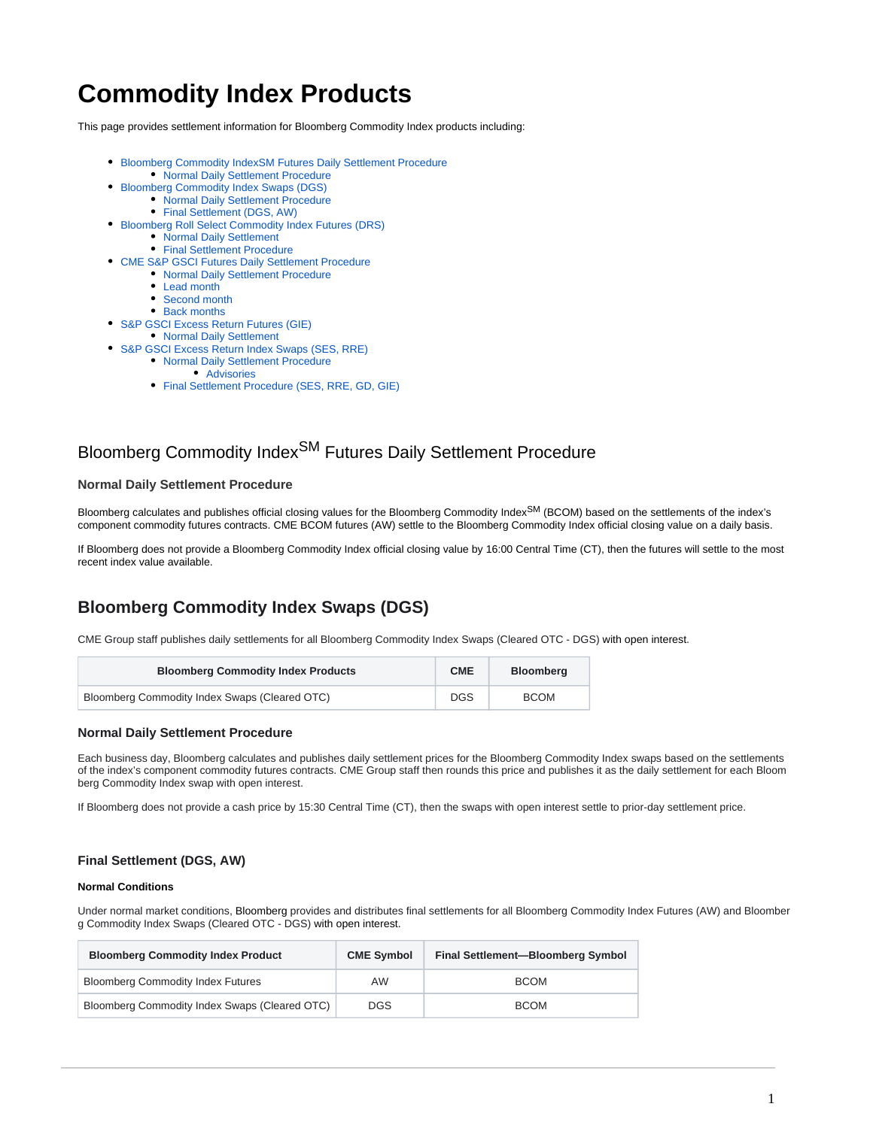# **Commodity Index Products**

This page provides settlement information for Bloomberg Commodity Index products including:

- [Bloomberg Commodity IndexSM Futures Daily Settlement Procedure](#page-0-0) [Normal Daily Settlement Procedure](#page-0-1)
- [Bloomberg Commodity Index Swaps \(DGS\)](#page-0-2)
	- [Normal Daily Settlement Procedure](#page-0-3)
		- [Final Settlement \(DGS, AW\)](#page-0-4)
- [Bloomberg Roll Select Commodity Index Futures \(DRS\)](#page-1-0)
	- [Normal Daily Settlement](#page-1-1)
	- **[Final Settlement Procedure](#page-2-0)**
- [CME S&P GSCI Futures Daily Settlement Procedure](#page-2-1)
	- [Normal Daily Settlement Procedure](#page-2-2)
	- [Lead month](#page-2-3)
	- [Second month](#page-2-4)
	- [Back months](#page-3-0)
- [S&P GSCI Excess Return Futures \(GIE\)](#page-3-1)
	- [Normal Daily Settlement](#page-3-2)
- [S&P GSCI Excess Return Index Swaps \(SES, RRE\)](#page-3-3)
	- [Normal Daily Settlement Procedure](#page-3-4)
		- [Advisories](#page-3-5)
		- [Final Settlement Procedure \(SES, RRE, GD, GIE\)](#page-3-6)

## <span id="page-0-0"></span>Bloomberg Commodity Index<sup>SM</sup> Futures Daily Settlement Procedure

### <span id="page-0-1"></span>**Normal Daily Settlement Procedure**

Bloomberg calculates and publishes official closing values for the Bloomberg Commodity Index<sup>SM</sup> (BCOM) based on the settlements of the index's component commodity futures contracts. CME BCOM futures (AW) settle to the Bloomberg Commodity Index official closing value on a daily basis.

If Bloomberg does not provide a Bloomberg Commodity Index official closing value by 16:00 Central Time (CT), then the futures will settle to the most recent index value available.

## <span id="page-0-2"></span>**Bloomberg Commodity Index Swaps (DGS)**

CME Group staff publishes daily settlements for all Bloomberg Commodity Index Swaps (Cleared OTC - DGS) with open interest.

| <b>Bloomberg Commodity Index Products</b>     | <b>CME</b> | <b>Bloomberg</b> |
|-----------------------------------------------|------------|------------------|
| Bloomberg Commodity Index Swaps (Cleared OTC) |            | <b>BCOM</b>      |

### <span id="page-0-3"></span>**Normal Daily Settlement Procedure**

Each business day, Bloomberg calculates and publishes daily settlement prices for the Bloomberg Commodity Index swaps based on the settlements of the index's component commodity futures contracts. CME Group staff then rounds this price and publishes it as the daily settlement for each Bloom berg Commodity Index swap with open interest.

If Bloomberg does not provide a cash price by 15:30 Central Time (CT), then the swaps with open interest settle to prior-day settlement price.

### <span id="page-0-4"></span>**Final Settlement (DGS, AW)**

### **Normal Conditions**

Under normal market conditions, Bloomberg provides and distributes final settlements for all Bloomberg Commodity Index Futures (AW) and Bloomber g Commodity Index Swaps (Cleared OTC - DGS) with open interest.

| <b>Bloomberg Commodity Index Product</b>      | <b>CME Symbol</b> | Final Settlement-Bloomberg Symbol |
|-----------------------------------------------|-------------------|-----------------------------------|
| <b>Bloomberg Commodity Index Futures</b>      | AW                | <b>BCOM</b>                       |
| Bloomberg Commodity Index Swaps (Cleared OTC) | <b>DGS</b>        | <b>BCOM</b>                       |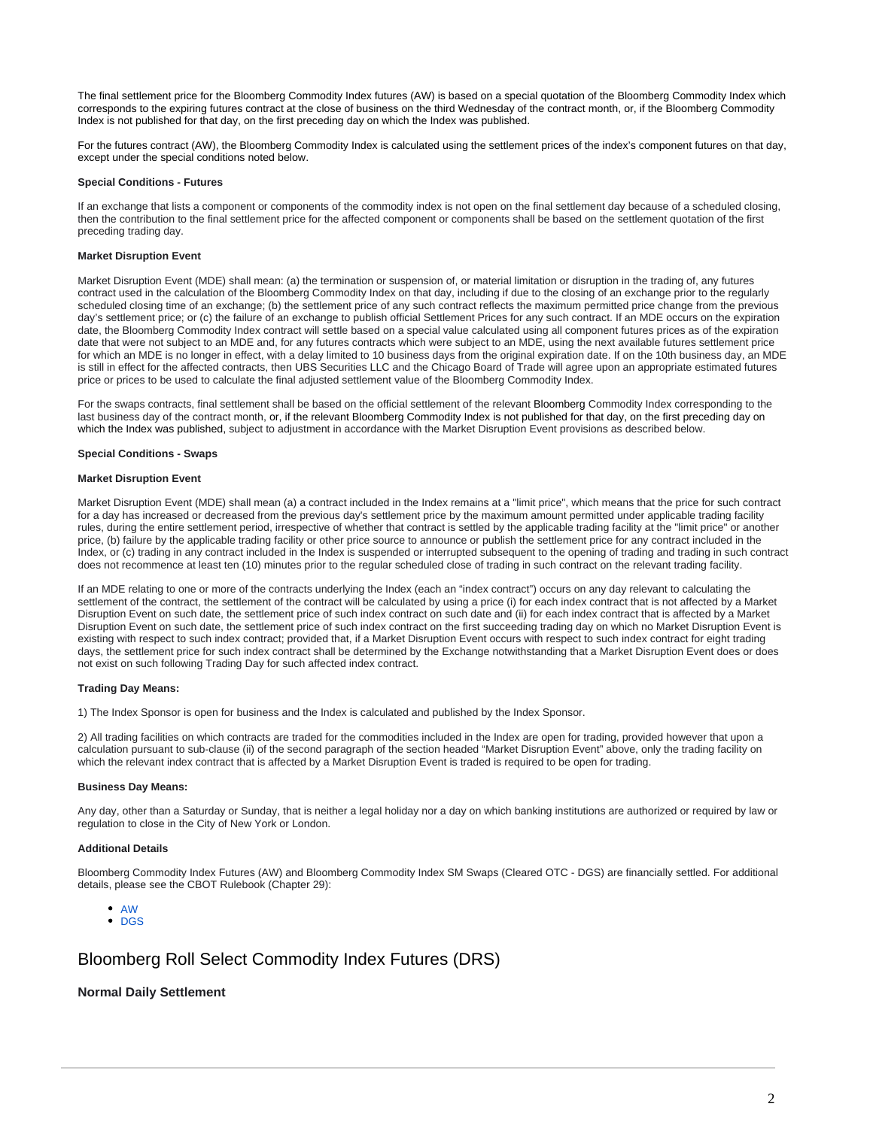The final settlement price for the Bloomberg Commodity Index futures (AW) is based on a special quotation of the Bloomberg Commodity Index which corresponds to the expiring futures contract at the close of business on the third Wednesday of the contract month, or, if the Bloomberg Commodity Index is not published for that day, on the first preceding day on which the Index was published.

For the futures contract (AW), the Bloomberg Commodity Index is calculated using the settlement prices of the index's component futures on that day, except under the special conditions noted below.

### **Special Conditions - Futures**

If an exchange that lists a component or components of the commodity index is not open on the final settlement day because of a scheduled closing, then the contribution to the final settlement price for the affected component or components shall be based on the settlement quotation of the first preceding trading day.

### **Market Disruption Event**

Market Disruption Event (MDE) shall mean: (a) the termination or suspension of, or material limitation or disruption in the trading of, any futures contract used in the calculation of the Bloomberg Commodity Index on that day, including if due to the closing of an exchange prior to the regularly scheduled closing time of an exchange; (b) the settlement price of any such contract reflects the maximum permitted price change from the previous day's settlement price; or (c) the failure of an exchange to publish official Settlement Prices for any such contract. If an MDE occurs on the expiration date, the Bloomberg Commodity Index contract will settle based on a special value calculated using all component futures prices as of the expiration date that were not subject to an MDE and, for any futures contracts which were subject to an MDE, using the next available futures settlement price for which an MDE is no longer in effect, with a delay limited to 10 business days from the original expiration date. If on the 10th business day, an MDE is still in effect for the affected contracts, then UBS Securities LLC and the Chicago Board of Trade will agree upon an appropriate estimated futures price or prices to be used to calculate the final adjusted settlement value of the Bloomberg Commodity Index.

For the swaps contracts, final settlement shall be based on the official settlement of the relevant Bloomberg Commodity Index corresponding to the last business day of the contract month, or, if the relevant Bloomberg Commodity Index is not published for that day, on the first preceding day on which the Index was published, subject to adjustment in accordance with the Market Disruption Event provisions as described below.

#### **Special Conditions - Swaps**

#### **Market Disruption Event**

Market Disruption Event (MDE) shall mean (a) a contract included in the Index remains at a "limit price", which means that the price for such contract for a day has increased or decreased from the previous day's settlement price by the maximum amount permitted under applicable trading facility rules, during the entire settlement period, irrespective of whether that contract is settled by the applicable trading facility at the "limit price" or another price, (b) failure by the applicable trading facility or other price source to announce or publish the settlement price for any contract included in the Index, or (c) trading in any contract included in the Index is suspended or interrupted subsequent to the opening of trading and trading in such contract does not recommence at least ten (10) minutes prior to the regular scheduled close of trading in such contract on the relevant trading facility.

If an MDE relating to one or more of the contracts underlying the Index (each an "index contract") occurs on any day relevant to calculating the settlement of the contract, the settlement of the contract will be calculated by using a price (i) for each index contract that is not affected by a Market Disruption Event on such date, the settlement price of such index contract on such date and (ii) for each index contract that is affected by a Market Disruption Event on such date, the settlement price of such index contract on the first succeeding trading day on which no Market Disruption Event is existing with respect to such index contract; provided that, if a Market Disruption Event occurs with respect to such index contract for eight trading days, the settlement price for such index contract shall be determined by the Exchange notwithstanding that a Market Disruption Event does or does not exist on such following Trading Day for such affected index contract.

#### **Trading Day Means:**

1) The Index Sponsor is open for business and the Index is calculated and published by the Index Sponsor.

2) All trading facilities on which contracts are traded for the commodities included in the Index are open for trading, provided however that upon a calculation pursuant to sub-clause (ii) of the second paragraph of the section headed "Market Disruption Event" above, only the trading facility on which the relevant index contract that is affected by a Market Disruption Event is traded is required to be open for trading.

#### **Business Day Means:**

Any day, other than a Saturday or Sunday, that is neither a legal holiday nor a day on which banking institutions are authorized or required by law or regulation to close in the City of New York or London.

#### **Additional Details**

Bloomberg Commodity Index Futures (AW) and Bloomberg Commodity Index SM Swaps (Cleared OTC - DGS) are financially settled. For additional details, please see the CBOT Rulebook (Chapter 29):

- [AW](http://www.cmegroup.com/rulebook/CBOT/IV/29/29.pdf)
- [DGS](http://www.cmegroup.com/rulebook/CBOT/IV/29A/29A.pdf)

### <span id="page-1-0"></span>Bloomberg Roll Select Commodity Index Futures (DRS)

### <span id="page-1-1"></span>**Normal Daily Settlement**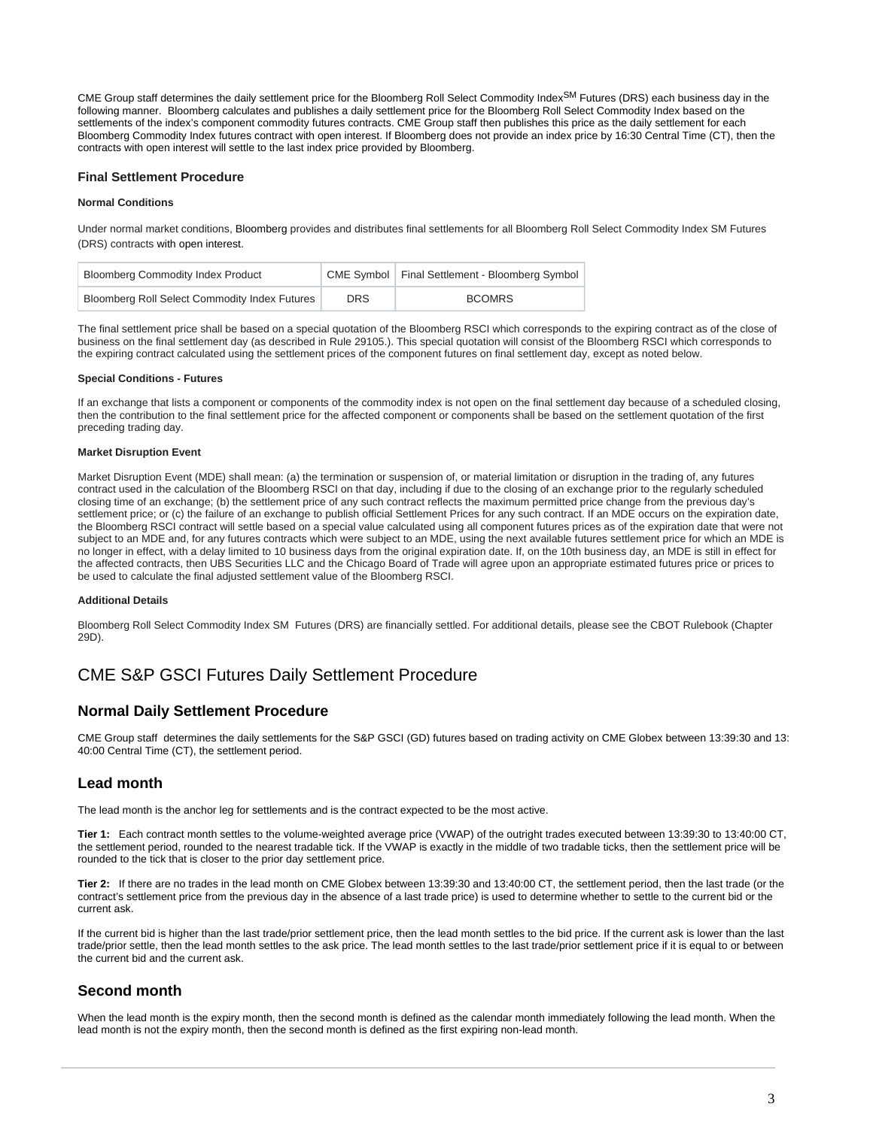CME Group staff determines the daily settlement price for the Bloomberg Roll Select Commodity Index<sup>SM</sup> Futures (DRS) each business day in the following manner. Bloomberg calculates and publishes a daily settlement price for the Bloomberg Roll Select Commodity Index based on the settlements of the index's component commodity futures contracts. CME Group staff then publishes this price as the daily settlement for each Bloomberg Commodity Index futures contract with open interest. If Bloomberg does not provide an index price by 16:30 Central Time (CT), then the contracts with open interest will settle to the last index price provided by Bloomberg.

### <span id="page-2-0"></span>**Final Settlement Procedure**

### **Normal Conditions**

Under normal market conditions, Bloomberg provides and distributes final settlements for all Bloomberg Roll Select Commodity Index SM Futures (DRS) contracts with open interest.

| <b>Bloomberg Commodity Index Product</b>      |            | CME Symbol   Final Settlement - Bloomberg Symbol |
|-----------------------------------------------|------------|--------------------------------------------------|
| Bloomberg Roll Select Commodity Index Futures | <b>DRS</b> | <b>BCOMRS</b>                                    |

The final settlement price shall be based on a special quotation of the Bloomberg RSCI which corresponds to the expiring contract as of the close of business on the final settlement day (as described in Rule 29105.). This special quotation will consist of the Bloomberg RSCI which corresponds to the expiring contract calculated using the settlement prices of the component futures on final settlement day, except as noted below.

### **Special Conditions - Futures**

If an exchange that lists a component or components of the commodity index is not open on the final settlement day because of a scheduled closing, then the contribution to the final settlement price for the affected component or components shall be based on the settlement quotation of the first preceding trading day.

### **Market Disruption Event**

Market Disruption Event (MDE) shall mean: (a) the termination or suspension of, or material limitation or disruption in the trading of, any futures contract used in the calculation of the Bloomberg RSCI on that day, including if due to the closing of an exchange prior to the regularly scheduled closing time of an exchange; (b) the settlement price of any such contract reflects the maximum permitted price change from the previous day's settlement price; or (c) the failure of an exchange to publish official Settlement Prices for any such contract. If an MDE occurs on the expiration date, the Bloomberg RSCI contract will settle based on a special value calculated using all component futures prices as of the expiration date that were not subject to an MDE and, for any futures contracts which were subject to an MDE, using the next available futures settlement price for which an MDE is no longer in effect, with a delay limited to 10 business days from the original expiration date. If, on the 10th business day, an MDE is still in effect for the affected contracts, then UBS Securities LLC and the Chicago Board of Trade will agree upon an appropriate estimated futures price or prices to be used to calculate the final adjusted settlement value of the Bloomberg RSCI.

#### **Additional Details**

Bloomberg Roll Select Commodity Index SM Futures (DRS) are financially settled. For additional details, please see the [CBOT Rulebook \(Chapter](http://www.cmegroup.com/rulebook/CBOT/IV/29D.pdf)  [29D\).](http://www.cmegroup.com/rulebook/CBOT/IV/29D.pdf)

## <span id="page-2-1"></span>CME S&P GSCI Futures Daily Settlement Procedure

### <span id="page-2-2"></span>**Normal Daily Settlement Procedure**

CME Group staff determines the daily settlements for the S&P GSCI (GD) futures based on trading activity on CME Globex between 13:39:30 and 13: 40:00 Central Time (CT), the settlement period.

### <span id="page-2-3"></span>**Lead month**

The lead month is the anchor leg for settlements and is the contract expected to be the most active.

**Tier 1:** Each contract month settles to the volume-weighted average price (VWAP) of the outright trades executed between 13:39:30 to 13:40:00 CT, the settlement period, rounded to the nearest tradable tick. If the VWAP is exactly in the middle of two tradable ticks, then the settlement price will be rounded to the tick that is closer to the prior day settlement price.

**Tier 2:** If there are no trades in the lead month on CME Globex between 13:39:30 and 13:40:00 CT, the settlement period, then the last trade (or the contract's settlement price from the previous day in the absence of a last trade price) is used to determine whether to settle to the current bid or the current ask.

If the current bid is higher than the last trade/prior settlement price, then the lead month settles to the bid price. If the current ask is lower than the last trade/prior settle, then the lead month settles to the ask price. The lead month settles to the last trade/prior settlement price if it is equal to or between the current bid and the current ask.

### <span id="page-2-4"></span>**Second month**

When the lead month is the expiry month, then the second month is defined as the calendar month immediately following the lead month. When the lead month is not the expiry month, then the second month is defined as the first expiring non-lead month.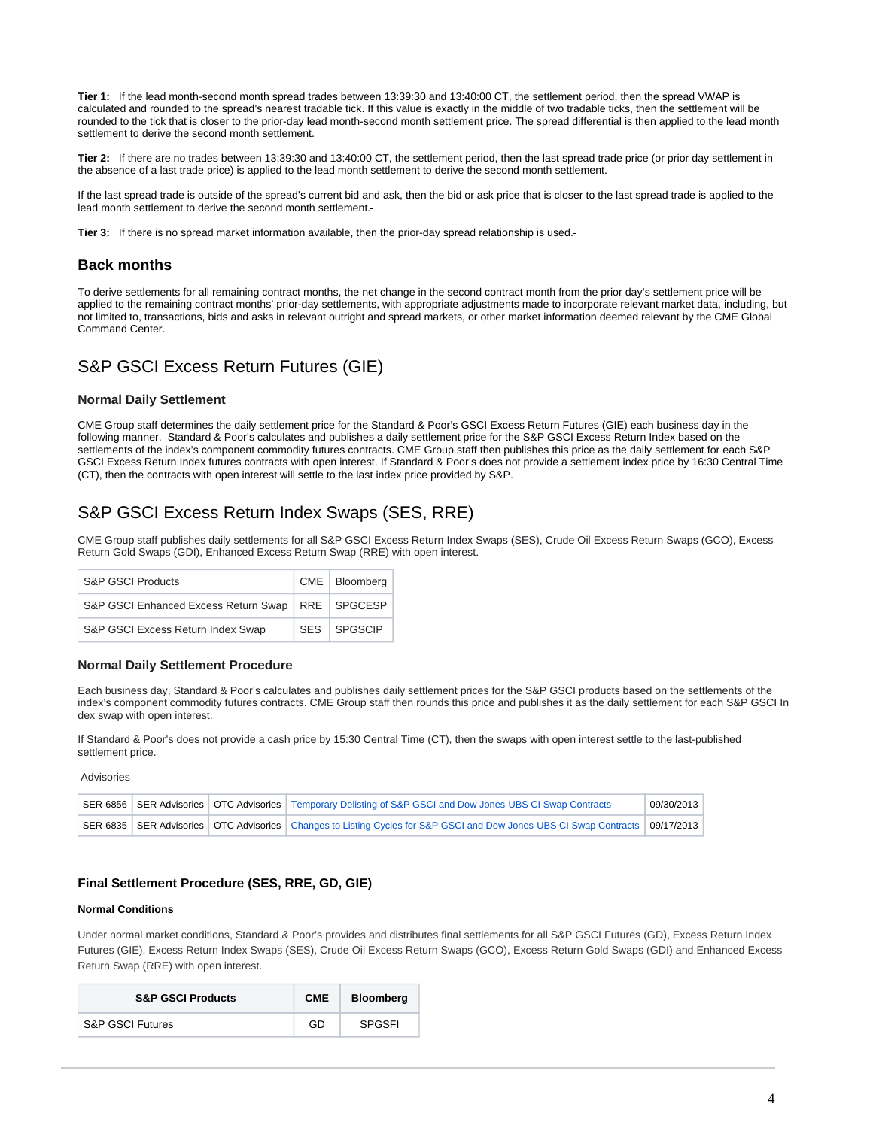**Tier 1:** If the lead month-second month spread trades between 13:39:30 and 13:40:00 CT, the settlement period, then the spread VWAP is calculated and rounded to the spread's nearest tradable tick. If this value is exactly in the middle of two tradable ticks, then the settlement will be rounded to the tick that is closer to the prior-day lead month-second month settlement price. The spread differential is then applied to the lead month settlement to derive the second month settlement.

**Tier 2:** If there are no trades between 13:39:30 and 13:40:00 CT, the settlement period, then the last spread trade price (or prior day settlement in the absence of a last trade price) is applied to the lead month settlement to derive the second month settlement.

If the last spread trade is outside of the spread's current bid and ask, then the bid or ask price that is closer to the last spread trade is applied to the lead month settlement to derive the second month settlement.

**Tier 3:** If there is no spread market information available, then the prior-day spread relationship is used.

### <span id="page-3-0"></span>**Back months**

To derive settlements for all remaining contract months, the net change in the second contract month from the prior day's settlement price will be applied to the remaining contract months' prior-day settlements, with appropriate adjustments made to incorporate relevant market data, including, but not limited to, transactions, bids and asks in relevant outright and spread markets, or other market information deemed relevant by the CME Global Command Center.

## <span id="page-3-1"></span>S&P GSCI Excess Return Futures (GIE)

### <span id="page-3-2"></span>**Normal Daily Settlement**

CME Group staff determines the daily settlement price for the Standard & Poor's GSCI Excess Return Futures (GIE) each business day in the following manner. Standard & Poor's calculates and publishes a daily settlement price for the S&P GSCI Excess Return Index based on the settlements of the index's component commodity futures contracts. CME Group staff then publishes this price as the daily settlement for each S&P GSCI Excess Return Index futures contracts with open interest. If Standard & Poor's does not provide a settlement index price by 16:30 Central Time (CT), then the contracts with open interest will settle to the last index price provided by S&P.

### <span id="page-3-3"></span>S&P GSCI Excess Return Index Swaps (SES, RRE)

CME Group staff publishes daily settlements for all S&P GSCI Excess Return Index Swaps (SES), Crude Oil Excess Return Swaps (GCO), Excess Return Gold Swaps (GDI), Enhanced Excess Return Swap (RRE) with open interest.

| <b>S&amp;P GSCI Products</b>                         | CME   Bloomberg |
|------------------------------------------------------|-----------------|
| S&P GSCI Enhanced Excess Return Swap   RRE   SPGCESP |                 |
| S&P GSCI Excess Return Index Swap                    | SES SPGSCIP     |

### <span id="page-3-4"></span>**Normal Daily Settlement Procedure**

Each business day, Standard & Poor's calculates and publishes daily settlement prices for the S&P GSCI products based on the settlements of the index's component commodity futures contracts. CME Group staff then rounds this price and publishes it as the daily settlement for each S&P GSCI In dex swap with open interest.

If Standard & Poor's does not provide a cash price by 15:30 Central Time (CT), then the swaps with open interest settle to the last-published settlement price.

<span id="page-3-5"></span>Advisories

|  | SER-6856 SER Advisories   OTC Advisories   Temporary Delisting of S&P GSCI and Dow Jones-UBS CI Swap Contracts                     | 09/30/2013 |
|--|------------------------------------------------------------------------------------------------------------------------------------|------------|
|  | SER-6835 SER Advisories   OTC Advisories   Changes to Listing Cycles for S&P GSCI and Dow Jones-UBS CI Swap Contracts   09/17/2013 |            |

### <span id="page-3-6"></span>**Final Settlement Procedure (SES, RRE, GD, GIE)**

### **Normal Conditions**

Under normal market conditions, Standard & Poor's provides and distributes final settlements for all S&P GSCI Futures (GD), Excess Return Index Futures (GIE), Excess Return Index Swaps (SES), Crude Oil Excess Return Swaps (GCO), Excess Return Gold Swaps (GDI) and Enhanced Excess Return Swap (RRE) with open interest.

| <b>S&amp;P GSCI Products</b> | <b>CME</b> | Bloomberg     |
|------------------------------|------------|---------------|
| <b>S&amp;P GSCI Futures</b>  | GD         | <b>SPGSFI</b> |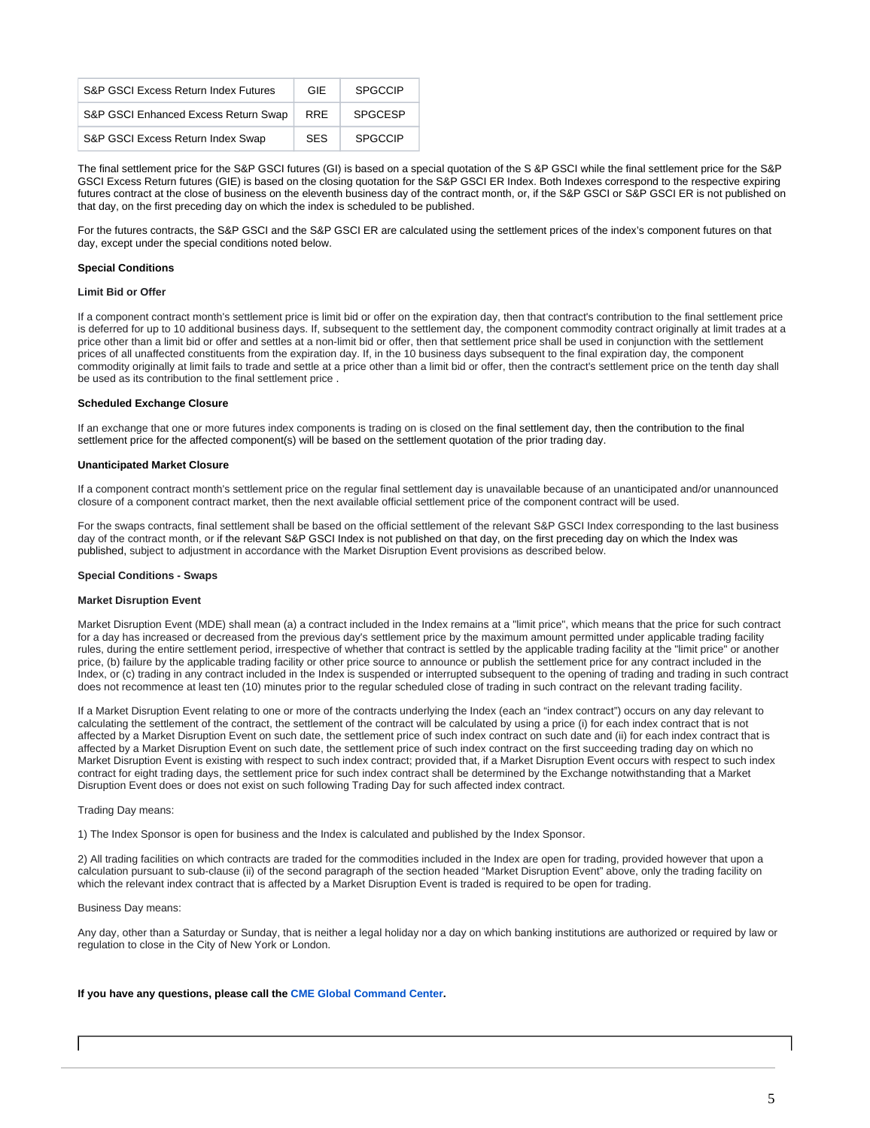| S&P GSCI Excess Return Index Futures | GIF        | SPGCCIP        |
|--------------------------------------|------------|----------------|
| S&P GSCI Enhanced Excess Return Swap | <b>RRF</b> | <b>SPGCESP</b> |
| S&P GSCI Excess Return Index Swap    | <b>SFS</b> | <b>SPGCCIP</b> |

The final settlement price for the S&P GSCI futures (GI) is based on a special quotation of the S &P GSCI while the final settlement price for the S&P GSCI Excess Return futures (GIE) is based on the closing quotation for the S&P GSCI ER Index. Both Indexes correspond to the respective expiring futures contract at the close of business on the eleventh business day of the contract month, or, if the S&P GSCI or S&P GSCI ER is not published on that day, on the first preceding day on which the index is scheduled to be published.

For the futures contracts, the S&P GSCI and the S&P GSCI ER are calculated using the settlement prices of the index's component futures on that day, except under the special conditions noted below.

### **Special Conditions**

### **Limit Bid or Offer**

If a component contract month's settlement price is limit bid or offer on the expiration day, then that contract's contribution to the final settlement price is deferred for up to 10 additional business days. If, subsequent to the settlement day, the component commodity contract originally at limit trades at a price other than a limit bid or offer and settles at a non-limit bid or offer, then that settlement price shall be used in conjunction with the settlement prices of all unaffected constituents from the expiration day. If, in the 10 business days subsequent to the final expiration day, the component commodity originally at limit fails to trade and settle at a price other than a limit bid or offer, then the contract's settlement price on the tenth day shall be used as its contribution to the final settlement price .

### **Scheduled Exchange Closure**

If an exchange that one or more futures index components is trading on is closed on the final settlement day, then the contribution to the final settlement price for the affected component(s) will be based on the settlement quotation of the prior trading day.

### **Unanticipated Market Closure**

If a component contract month's settlement price on the regular final settlement day is unavailable because of an unanticipated and/or unannounced closure of a component contract market, then the next available official settlement price of the component contract will be used.

For the swaps contracts, final settlement shall be based on the official settlement of the relevant S&P GSCI Index corresponding to the last business day of the contract month, or if the relevant S&P GSCI Index is not published on that day, on the first preceding day on which the Index was published, subject to adjustment in accordance with the Market Disruption Event provisions as described below.

### **Special Conditions - Swaps**

### **Market Disruption Event**

Market Disruption Event (MDE) shall mean (a) a contract included in the Index remains at a "limit price", which means that the price for such contract for a day has increased or decreased from the previous day's settlement price by the maximum amount permitted under applicable trading facility rules, during the entire settlement period, irrespective of whether that contract is settled by the applicable trading facility at the "limit price" or another price, (b) failure by the applicable trading facility or other price source to announce or publish the settlement price for any contract included in the Index, or (c) trading in any contract included in the Index is suspended or interrupted subsequent to the opening of trading and trading in such contract does not recommence at least ten (10) minutes prior to the regular scheduled close of trading in such contract on the relevant trading facility.

If a Market Disruption Event relating to one or more of the contracts underlying the Index (each an "index contract") occurs on any day relevant to calculating the settlement of the contract, the settlement of the contract will be calculated by using a price (i) for each index contract that is not affected by a Market Disruption Event on such date, the settlement price of such index contract on such date and (ii) for each index contract that is affected by a Market Disruption Event on such date, the settlement price of such index contract on the first succeeding trading day on which no Market Disruption Event is existing with respect to such index contract; provided that, if a Market Disruption Event occurs with respect to such index contract for eight trading days, the settlement price for such index contract shall be determined by the Exchange notwithstanding that a Market Disruption Event does or does not exist on such following Trading Day for such affected index contract.

#### Trading Day means:

1) The Index Sponsor is open for business and the Index is calculated and published by the Index Sponsor.

2) All trading facilities on which contracts are traded for the commodities included in the Index are open for trading, provided however that upon a calculation pursuant to sub-clause (ii) of the second paragraph of the section headed "Market Disruption Event" above, only the trading facility on which the relevant index contract that is affected by a Market Disruption Event is traded is required to be open for trading.

### Business Day means:

Any day, other than a Saturday or Sunday, that is neither a legal holiday nor a day on which banking institutions are authorized or required by law or regulation to close in the City of New York or London.

### **If you have any questions, please call the [CME Global Command Center](https://www.cmegroup.com/confluence/display/EPICSANDBOX/Contact+Information#ContactInformation-GlobalCommandCenter(GCC)).**